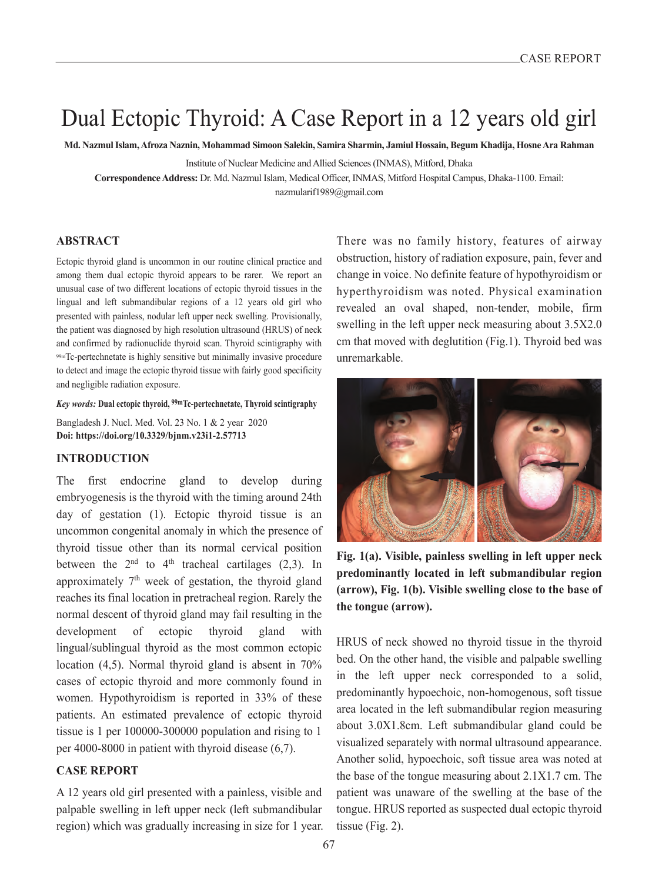# Dual Ectopic Thyroid: A Case Report in a 12 years old girl

**Md. Nazmul Islam, Afroza Naznin, Mohammad Simoon Salekin, Samira Sharmin, Jamiul Hossain, Begum Khadija, Hosne Ara Rahman**

Institute of Nuclear Medicine and Allied Sciences (INMAS), Mitford, Dhaka

**Correspondence Address:** Dr. Md. Nazmul Islam, Medical Officer, INMAS, Mitford Hospital Campus, Dhaka-1100. Email: nazmularif1989@gmail.com

#### **ABSTRACT**

Ectopic thyroid gland is uncommon in our routine clinical practice and among them dual ectopic thyroid appears to be rarer. We report an unusual case of two different locations of ectopic thyroid tissues in the lingual and left submandibular regions of a 12 years old girl who presented with painless, nodular left upper neck swelling. Provisionally, the patient was diagnosed by high resolution ultrasound (HRUS) of neck and confirmed by radionuclide thyroid scan. Thyroid scintigraphy with 99mTc-pertechnetate is highly sensitive but minimally invasive procedure to detect and image the ectopic thyroid tissue with fairly good specificity and negligible radiation exposure.

*Key words:* **Dual ectopic thyroid, 99mTc-pertechnetate, Thyroid scintigraphy**

Bangladesh J. Nucl. Med. Vol. 23 No. 1 & 2 year 2020 **Doi: https://doi.org/10.3329/bjnm.v23i1-2.57713**

## **INTRODUCTION**

The first endocrine gland to develop during embryogenesis is the thyroid with the timing around 24th day of gestation (1). Ectopic thyroid tissue is an uncommon congenital anomaly in which the presence of thyroid tissue other than its normal cervical position between the  $2<sup>nd</sup>$  to  $4<sup>th</sup>$  tracheal cartilages (2,3). In approximately  $7<sup>th</sup>$  week of gestation, the thyroid gland reaches its final location in pretracheal region. Rarely the normal descent of thyroid gland may fail resulting in the development of ectopic thyroid gland with lingual/sublingual thyroid as the most common ectopic location (4,5). Normal thyroid gland is absent in 70% cases of ectopic thyroid and more commonly found in women. Hypothyroidism is reported in 33% of these patients. An estimated prevalence of ectopic thyroid tissue is 1 per 100000-300000 population and rising to 1 per 4000-8000 in patient with thyroid disease (6,7).

#### **CASE REPORT**

A 12 years old girl presented with a painless, visible and palpable swelling in left upper neck (left submandibular region) which was gradually increasing in size for 1 year. There was no family history, features of airway obstruction, history of radiation exposure, pain, fever and change in voice. No definite feature of hypothyroidism or hyperthyroidism was noted. Physical examination revealed an oval shaped, non-tender, mobile, firm swelling in the left upper neck measuring about 3.5X2.0 cm that moved with deglutition (Fig.1). Thyroid bed was unremarkable.



**Fig. 1(a). Visible, painless swelling in left upper neck predominantly located in left submandibular region (arrow), Fig. 1(b). Visible swelling close to the base of the tongue (arrow).**

HRUS of neck showed no thyroid tissue in the thyroid bed. On the other hand, the visible and palpable swelling in the left upper neck corresponded to a solid, predominantly hypoechoic, non-homogenous, soft tissue area located in the left submandibular region measuring about 3.0X1.8cm. Left submandibular gland could be visualized separately with normal ultrasound appearance. Another solid, hypoechoic, soft tissue area was noted at the base of the tongue measuring about 2.1X1.7 cm. The patient was unaware of the swelling at the base of the tongue. HRUS reported as suspected dual ectopic thyroid tissue (Fig. 2).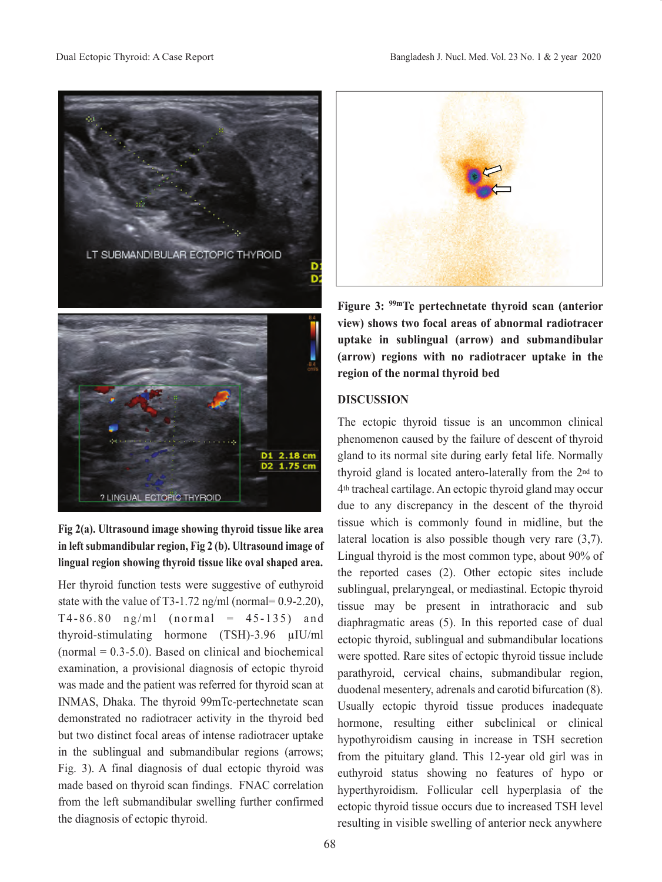



Her thyroid function tests were suggestive of euthyroid state with the value of T3-1.72 ng/ml (normal=  $0.9$ -2.20),  $T4-86.80$  ng/ml (normal =  $45-135$ ) and thyroid-stimulating hormone (TSH)-3.96 µIU/ml  $(normal = 0.3-5.0)$ . Based on clinical and biochemical examination, a provisional diagnosis of ectopic thyroid was made and the patient was referred for thyroid scan at INMAS, Dhaka. The thyroid 99mTc-pertechnetate scan demonstrated no radiotracer activity in the thyroid bed but two distinct focal areas of intense radiotracer uptake in the sublingual and submandibular regions (arrows; Fig. 3). A final diagnosis of dual ectopic thyroid was made based on thyroid scan findings. FNAC correlation from the left submandibular swelling further confirmed the diagnosis of ectopic thyroid.



**Figure 3: 99mTc pertechnetate thyroid scan (anterior view) shows two focal areas of abnormal radiotracer uptake in sublingual (arrow) and submandibular (arrow) regions with no radiotracer uptake in the region of the normal thyroid bed**

### **DISCUSSION**

The ectopic thyroid tissue is an uncommon clinical phenomenon caused by the failure of descent of thyroid gland to its normal site during early fetal life. Normally thyroid gland is located antero-laterally from the 2nd to 4th tracheal cartilage. An ectopic thyroid gland may occur due to any discrepancy in the descent of the thyroid tissue which is commonly found in midline, but the lateral location is also possible though very rare (3,7). Lingual thyroid is the most common type, about 90% of the reported cases (2). Other ectopic sites include sublingual, prelaryngeal, or mediastinal. Ectopic thyroid tissue may be present in intrathoracic and sub diaphragmatic areas (5). In this reported case of dual ectopic thyroid, sublingual and submandibular locations were spotted. Rare sites of ectopic thyroid tissue include parathyroid, cervical chains, submandibular region, duodenal mesentery, adrenals and carotid bifurcation (8). Usually ectopic thyroid tissue produces inadequate hormone, resulting either subclinical or clinical hypothyroidism causing in increase in TSH secretion from the pituitary gland. This 12-year old girl was in euthyroid status showing no features of hypo or hyperthyroidism. Follicular cell hyperplasia of the ectopic thyroid tissue occurs due to increased TSH level resulting in visible swelling of anterior neck anywhere